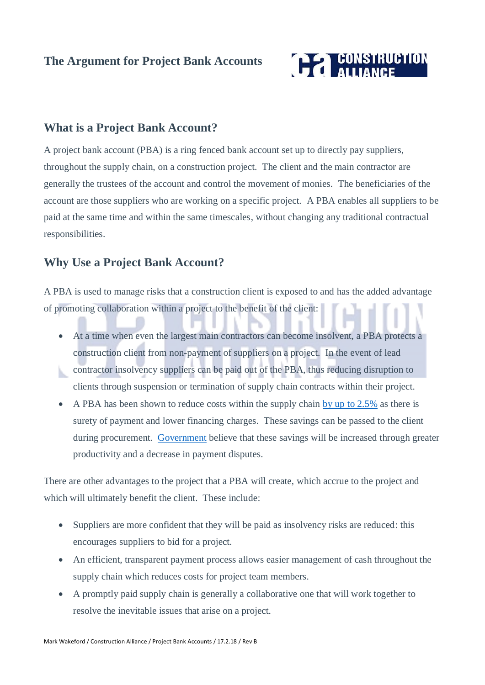# **The Argument for Project Bank Accounts**



### **What is a Project Bank Account?**

A project bank account (PBA) is a ring fenced bank account set up to directly pay suppliers, throughout the supply chain, on a construction project. The client and the main contractor are generally the trustees of the account and control the movement of monies. The beneficiaries of the account are those suppliers who are working on a specific project. A PBA enables all suppliers to be paid at the same time and within the same timescales, without changing any traditional contractual responsibilities.

### **Why Use a Project Bank Account?**

A PBA is used to manage risks that a construction client is exposed to and has the added advantage of promoting collaboration within a project to the benefit of the client:

At a time when even the largest main contractors can become insolvent, a PBA protects a construction client from non-payment of suppliers on a project. In the event of lead contractor insolvency suppliers can be paid out of the PBA, thus reducing disruption to

clients through suspension or termination of supply chain contracts within their project.

A PBA has been shown to reduce costs within the supply chain [by up to 2.5%](https://www.gov.uk/government/uploads/system/uploads/attachment_data/file/62118/A-guide-to-Project-Bank-Accounts-in-construction-for-government-clients-July-2012.pdf) as there is surety of payment and lower financing charges. These savings can be passed to the client during procurement. [Government](https://www.gov.uk/government/uploads/system/uploads/attachment_data/file/62118/A-guide-to-Project-Bank-Accounts-in-construction-for-government-clients-July-2012.pdf) believe that these savings will be increased through greater productivity and a decrease in payment disputes.

There are other advantages to the project that a PBA will create, which accrue to the project and which will ultimately benefit the client. These include:

- Suppliers are more confident that they will be paid as insolvency risks are reduced: this encourages suppliers to bid for a project.
- An efficient, transparent payment process allows easier management of cash throughout the supply chain which reduces costs for project team members.
- A promptly paid supply chain is generally a collaborative one that will work together to resolve the inevitable issues that arise on a project.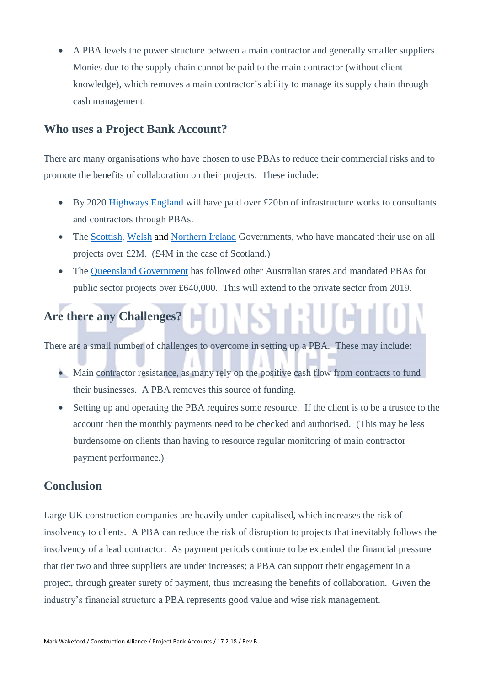• A PBA levels the power structure between a main contractor and generally smaller suppliers. Monies due to the supply chain cannot be paid to the main contractor (without client knowledge), which removes a main contractor's ability to manage its supply chain through cash management.

### **Who uses a Project Bank Account?**

There are many organisations who have chosen to use PBAs to reduce their commercial risks and to promote the benefits of collaboration on their projects. These include:

- By 2020 [Highways England](https://www.gov.uk/government/organisations/highways-england/about/procurement) will have paid over £20bn of infrastructure works to consultants and contractors through PBAs.
- The [Scottish,](http://www.gov.scot/Topics/Government/Procurement/policy/ReviewProcConst/projectbankaccounts) [Welsh](http://nps.gov.wales/news/new-project-bank-accounts-policy-2018?lang=en) and [Northern Ireland](https://www.finance-ni.gov.uk/sites/default/files/PGN%2003%2014%20-%20Construction%20Procurement%20%20Project%20Bank%20Accounts%20(Pilot)%20-%20Minor%20revision%20on%2004-06-2015.PDF) Governments, who have mandated their use on all projects over £2M. (£4M in the case of Scotland.)
- The [Queensland Government](https://www.legislation.qld.gov.au/view/pdf/asmade/sl-2018-0017) has followed other Australian states and mandated PBAs for public sector projects over £640,000. This will extend to the private sector from 2019.

# **Are there any Challenges?**

There are a small number of challenges to overcome in setting up a PBA. These may include:

- Main contractor resistance, as many rely on the positive cash flow from contracts to fund their businesses. A PBA removes this source of funding.
- Setting up and operating the PBA requires some resource. If the client is to be a trustee to the account then the monthly payments need to be checked and authorised. (This may be less burdensome on clients than having to resource regular monitoring of main contractor payment performance.)

## **Conclusion**

Large UK construction companies are heavily under-capitalised, which increases the risk of insolvency to clients. A PBA can reduce the risk of disruption to projects that inevitably follows the insolvency of a lead contractor. As payment periods continue to be extended the financial pressure that tier two and three suppliers are under increases; a PBA can support their engagement in a project, through greater surety of payment, thus increasing the benefits of collaboration. Given the industry's financial structure a PBA represents good value and wise risk management.